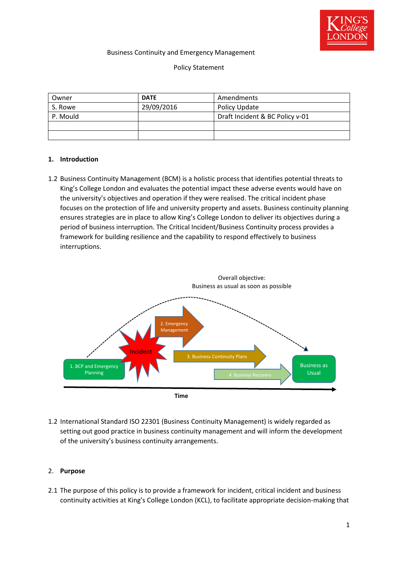

#### Business Continuity and Emergency Management

#### Policy Statement

| Owner    | <b>DATE</b> | Amendments                      |
|----------|-------------|---------------------------------|
| S. Rowe  | 29/09/2016  | Policy Update                   |
| P. Mould |             | Draft Incident & BC Policy v-01 |
|          |             |                                 |
|          |             |                                 |

#### **1. Introduction**

1.2 Business Continuity Management (BCM) is a holistic process that identifies potential threats to King's College London and evaluates the potential impact these adverse events would have on the university's objectives and operation if they were realised. The critical incident phase focuses on the protection of life and university property and assets. Business continuity planning ensures strategies are in place to allow King's College London to deliver its objectives during a period of business interruption. The Critical Incident/Business Continuity process provides a framework for building resilience and the capability to respond effectively to business interruptions.



1.2 International Standard ISO 22301 (Business Continuity Management) is widely regarded as setting out good practice in business continuity management and will inform the development of the university's business continuity arrangements.

#### 2. **Purpose**

2.1 The purpose of this policy is to provide a framework for incident, critical incident and business continuity activities at King's College London (KCL), to facilitate appropriate decision-making that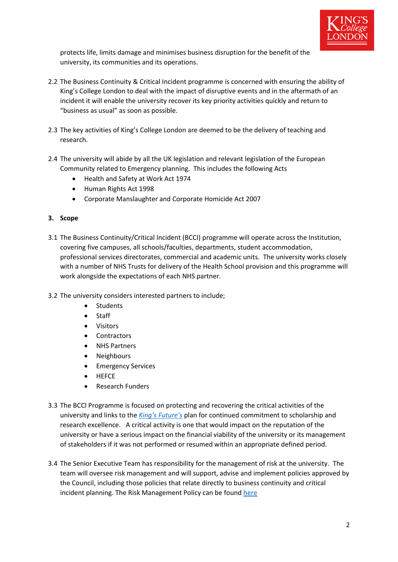

protects life, limits damage and minimises business disruption for the benefit of the university, its communities and its operations.

- 2.2 The Business Continuity & Critical Incident programme is concerned with ensuring the ability of King's College London to deal with the impact of disruptive events and in the aftermath of an incident it will enable the university recover its key priority activities quickly and return to "business as usual" as soon as possible.
- 2.3 The key activities of King's College London are deemed to be the delivery of teaching and research.
- 2.4 The university will abide by all the UK legislation and relevant legislation of the European Community related to Emergency planning. This includes the following Acts
	- Health and Safety at Work Act 1974
	- Human Rights Act 1998
	- Corporate Manslaughter and Corporate Homicide Act 2007
- **3. Scope**
- 3.1 The Business Continuity/Critical Incident (BCCI) programme will operate across the Institution, covering five campuses, all schools/faculties, departments, student accommodation, professional services directorates, commercial and academic units. The university works closely with a number of NHS Trusts for delivery of the Health School provision and this programme will work alongside the expectations of each NHS partner.
- 3.2 The university considers interested partners to include;
	- Students
	- Staff
	- Visitors
	- **Contractors**
	- NHS Partners
	- Neighbours
	- Emergency Services
	- **HEFCE**
	- Research Funders
- 3.3 The BCCI Programme is focused on protecting and recovering the critical activities of the university and links to the *[King's Future's](https://internal.kcl.ac.uk/principal/futures/Landing-Page.aspx?src=HPIcon)* plan for continued commitment to scholarship and research excellence. A critical activity is one that would impact on the reputation of the university or have a serious impact on the financial viability of the university or its management of stakeholders if it was not performed or resumed within an appropriate defined period.
- 3.4 The Senior Executive Team has responsibility for the management of risk at the university. The team will oversee risk management and will support, advise and implement policies approved by the Council, including those policies that relate directly to business continuity and critical incident planning. The Risk Management Policy can be found [here](http://www.kcl.ac.uk/governancezone/GovernanceLegal/Risk-Management-Policy.aspx)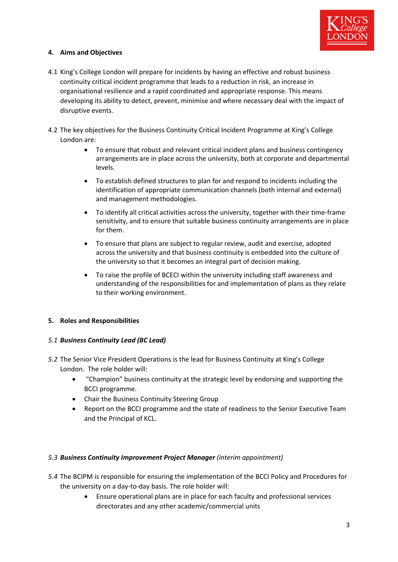

# **4. Aims and Objectives**

- 4.1 King's College London will prepare for incidents by having an effective and robust business continuity critical incident programme that leads to a reduction in risk, an increase in organisational resilience and a rapid coordinated and appropriate response. This means developing its ability to detect, prevent, minimise and where necessary deal with the impact of disruptive events.
- 4.2 The key objectives for the Business Continuity Critical Incident Programme at King's College London are:
	- To ensure that robust and relevant critical incident plans and business contingency arrangements are in place across the university, both at corporate and departmental levels.
	- To establish defined structures to plan for and respond to incidents including the identification of appropriate communication channels (both internal and external) and management methodologies.
	- To identify all critical activities across the university, together with their time-frame sensitivity, and to ensure that suitable business continuity arrangements are in place for them.
	- To ensure that plans are subject to regular review, audit and exercise, adopted across the university and that business continuity is embedded into the culture of the university so that it becomes an integral part of decision making.
	- To raise the profile of BCECI within the university including staff awareness and understanding of the responsibilities for and implementation of plans as they relate to their working environment.

## **5. Roles and Responsibilities**

## *5.1 Business Continuity Lead (BC Lead)*

- *5.2* The Senior Vice President Operations is the lead for Business Continuity at King's College London. The role holder will:
	- "Champion" business continuity at the strategic level by endorsing and supporting the BCCI programme.
	- Chair the Business Continuity Steering Group
	- Report on the BCCI programme and the state of readiness to the Senior Executive Team and the Principal of KCL.

## *5.3 Business Continuity Improvement Project Manager (interim appointment)*

- *5.4* The BCIPM is responsible for ensuring the implementation of the BCCI Policy and Procedures for the university on a day-to-day basis. The role holder will:
	- Ensure operational plans are in place for each faculty and professional services directorates and any other academic/commercial units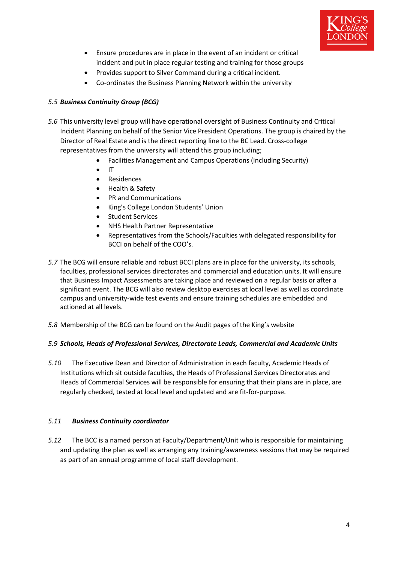

- Ensure procedures are in place in the event of an incident or critical incident and put in place regular testing and training for those groups
- Provides support to Silver Command during a critical incident.
- Co-ordinates the Business Planning Network within the university

# *5.5 Business Continuity Group (BCG)*

- *5.6* This university level group will have operational oversight of Business Continuity and Critical Incident Planning on behalf of the Senior Vice President Operations. The group is chaired by the Director of Real Estate and is the direct reporting line to the BC Lead. Cross-college representatives from the university will attend this group including;
	- Facilities Management and Campus Operations (including Security)
	- $\bullet$  IT
	- Residences
	- Health & Safety
	- PR and Communications
	- King's College London Students' Union
	- Student Services
	- NHS Health Partner Representative
	- Representatives from the Schools/Faculties with delegated responsibility for BCCI on behalf of the COO's.
- *5.7* The BCG will ensure reliable and robust BCCI plans are in place for the university, its schools, faculties, professional services directorates and commercial and education units. It will ensure that Business Impact Assessments are taking place and reviewed on a regular basis or after a significant event. The BCG will also review desktop exercises at local level as well as coordinate campus and university-wide test events and ensure training schedules are embedded and actioned at all levels.
- *5.8* Membership of the BCG can be found on the Audit pages of the King's website

## *5.9 Schools, Heads of Professional Services, Directorate Leads, Commercial and Academic Units*

*5.10* The Executive Dean and Director of Administration in each faculty, Academic Heads of Institutions which sit outside faculties, the Heads of Professional Services Directorates and Heads of Commercial Services will be responsible for ensuring that their plans are in place, are regularly checked, tested at local level and updated and are fit-for-purpose.

## *5.11 Business Continuity coordinator*

*5.12* The BCC is a named person at Faculty/Department/Unit who is responsible for maintaining and updating the plan as well as arranging any training/awareness sessions that may be required as part of an annual programme of local staff development.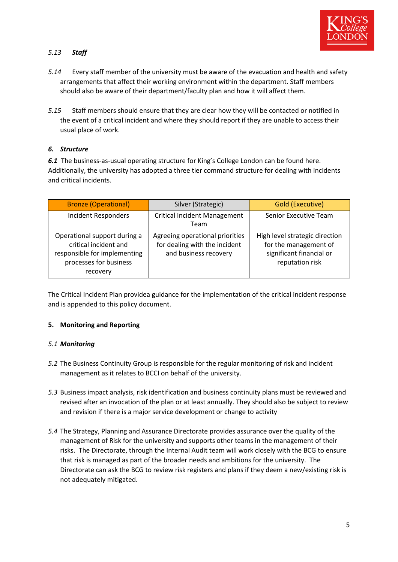

# *5.13 Staff*

- *5.14* Every staff member of the university must be aware of the evacuation and health and safety arrangements that affect their working environment within the department. Staff members should also be aware of their department/faculty plan and how it will affect them.
- *5.15* Staff members should ensure that they are clear how they will be contacted or notified in the event of a critical incident and where they should report if they are unable to access their usual place of work.

## *6. Structure*

*6.1* The business-as-usual operating structure for King's College London can be found here. Additionally, the university has adopted a three tier command structure for dealing with incidents and critical incidents.

| <b>Bronze (Operational)</b>                                                                                                 | Silver (Strategic)                                                                        | Gold (Executive)                                                                                       |
|-----------------------------------------------------------------------------------------------------------------------------|-------------------------------------------------------------------------------------------|--------------------------------------------------------------------------------------------------------|
| <b>Incident Responders</b>                                                                                                  | <b>Critical Incident Management</b><br>Team                                               | Senior Executive Team                                                                                  |
| Operational support during a<br>critical incident and<br>responsible for implementing<br>processes for business<br>recovery | Agreeing operational priorities<br>for dealing with the incident<br>and business recovery | High level strategic direction<br>for the management of<br>significant financial or<br>reputation risk |

The Critical Incident Plan providea guidance for the implementation of the critical incident response and is appended to this policy document.

## **5. Monitoring and Reporting**

## *5.1 Monitoring*

- *5.2* The Business Continuity Group is responsible for the regular monitoring of risk and incident management as it relates to BCCI on behalf of the university.
- *5.3* Business impact analysis, risk identification and business continuity plans must be reviewed and revised after an invocation of the plan or at least annually. They should also be subject to review and revision if there is a major service development or change to activity
- *5.4* The Strategy, Planning and Assurance Directorate provides assurance over the quality of the management of Risk for the university and supports other teams in the management of their risks. The Directorate, through the Internal Audit team will work closely with the BCG to ensure that risk is managed as part of the broader needs and ambitions for the university. The Directorate can ask the BCG to review risk registers and plans if they deem a new/existing risk is not adequately mitigated.